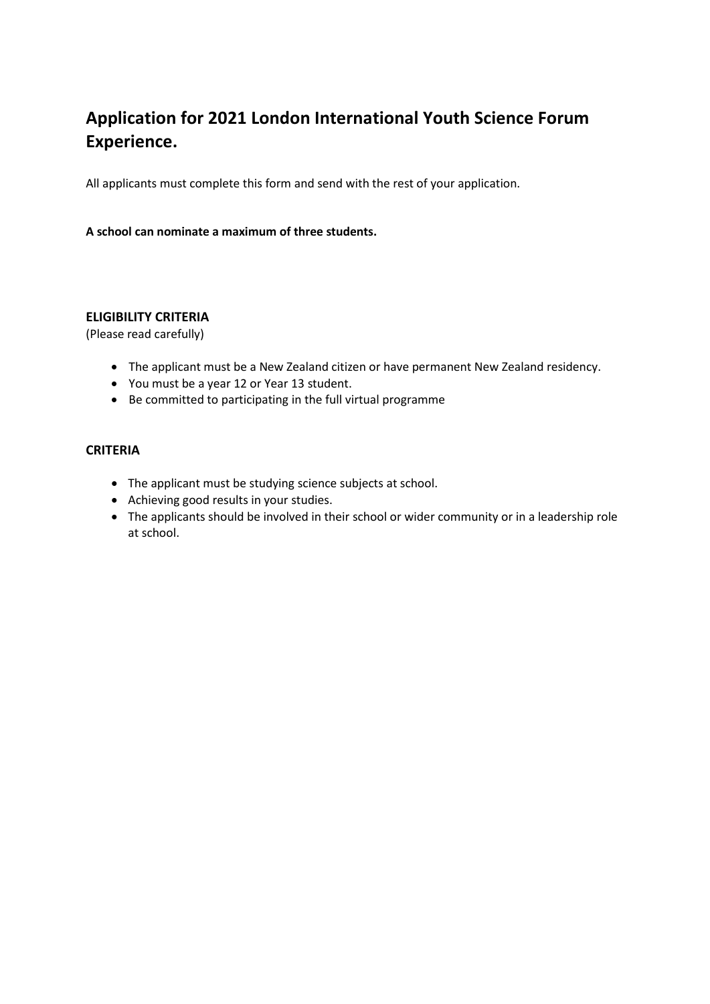## **Application for 2021 London International Youth Science Forum Experience.**

All applicants must complete this form and send with the rest of your application.

## **A school can nominate a maximum of three students.**

## **ELIGIBILITY CRITERIA**

(Please read carefully)

- The applicant must be a New Zealand citizen or have permanent New Zealand residency.
- You must be a year 12 or Year 13 student.
- Be committed to participating in the full virtual programme

## **CRITERIA**

- The applicant must be studying science subjects at school.
- Achieving good results in your studies.
- The applicants should be involved in their school or wider community or in a leadership role at school.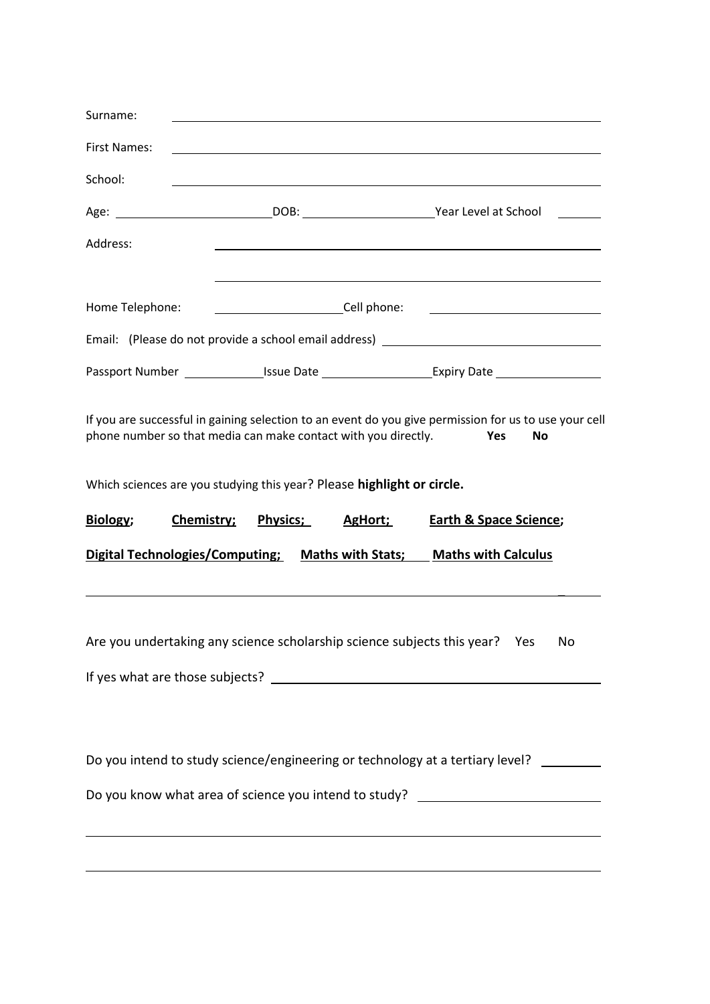| Surname:                                                                         |                                                                                                                                                             |                                                                                                                                                                                                                                                    |
|----------------------------------------------------------------------------------|-------------------------------------------------------------------------------------------------------------------------------------------------------------|----------------------------------------------------------------------------------------------------------------------------------------------------------------------------------------------------------------------------------------------------|
| <b>First Names:</b>                                                              |                                                                                                                                                             |                                                                                                                                                                                                                                                    |
| School:                                                                          |                                                                                                                                                             |                                                                                                                                                                                                                                                    |
|                                                                                  |                                                                                                                                                             |                                                                                                                                                                                                                                                    |
| Address:                                                                         |                                                                                                                                                             |                                                                                                                                                                                                                                                    |
|                                                                                  |                                                                                                                                                             | <u> 1989 - Johann Stoff, amerikansk politiker (* 1908)</u>                                                                                                                                                                                         |
| Home Telephone:                                                                  |                                                                                                                                                             |                                                                                                                                                                                                                                                    |
|                                                                                  |                                                                                                                                                             | Email: (Please do not provide a school email address) __________________________                                                                                                                                                                   |
|                                                                                  |                                                                                                                                                             |                                                                                                                                                                                                                                                    |
| Biology;<br>Chemistry;                                                           | phone number so that media can make contact with you directly.<br>Which sciences are you studying this year? Please highlight or circle.<br><b>Physics;</b> | If you are successful in gaining selection to an event do you give permission for us to use your cell<br><b>Yes</b><br>No<br><b>Earth &amp; Space Science;</b><br>AgHort;<br>Digital Technologies/Computing; Maths with Stats; Maths with Calculus |
|                                                                                  |                                                                                                                                                             | Are you undertaking any science scholarship science subjects this year? Yes No<br>Do you intend to study science/engineering or technology at a tertiary level?                                                                                    |
| ,我们也不会有什么。""我们的人,我们也不会有什么?""我们的人,我们也不会有什么?""我们的人,我们也不会有什么?""我们的人,我们也不会有什么?""我们的人 |                                                                                                                                                             | Do you know what area of science you intend to study? __________________________                                                                                                                                                                   |